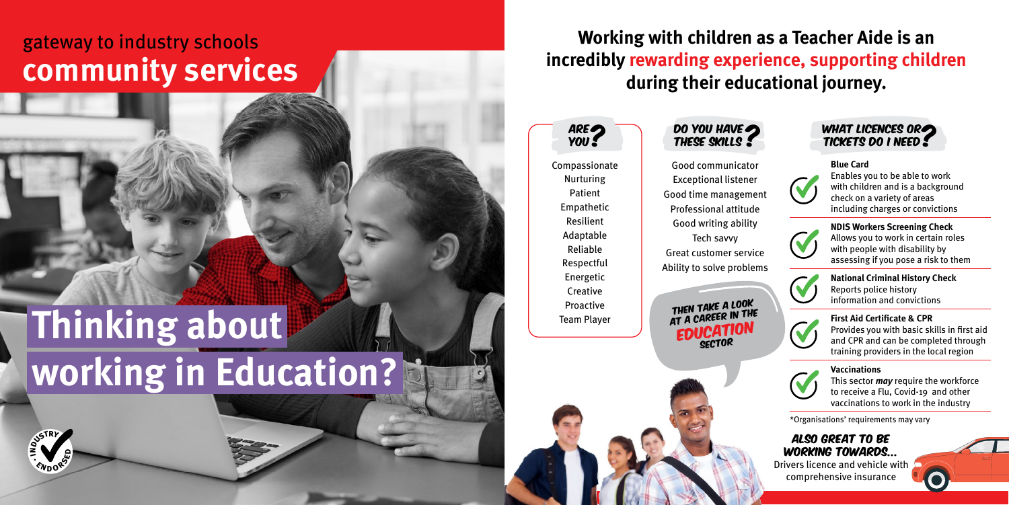## **Working with children as a Teacher Aide is an incredibly rewarding experience, supporting children during their educational journey.**

Compassionate Nurturing Patient Empathetic Resilient Adaptable Reliable Respectful Energetic **Creative** Proactive Team Player

DO YOU HAVE<br>THESE SKILLS

Good communicator Exceptional listener Good time management Professional attitude Good writing ability Tech savvy Great customer service Ability to solve problems

Then take a look THEN TAKE IN THE **EDUCATION** 



\*Organisations' requirements may vary



Also great to be working towards... Drivers licence and vehicle with

comprehensive insurance

## **Thinking about working in Education?**

## gateway to industry schools **community services**